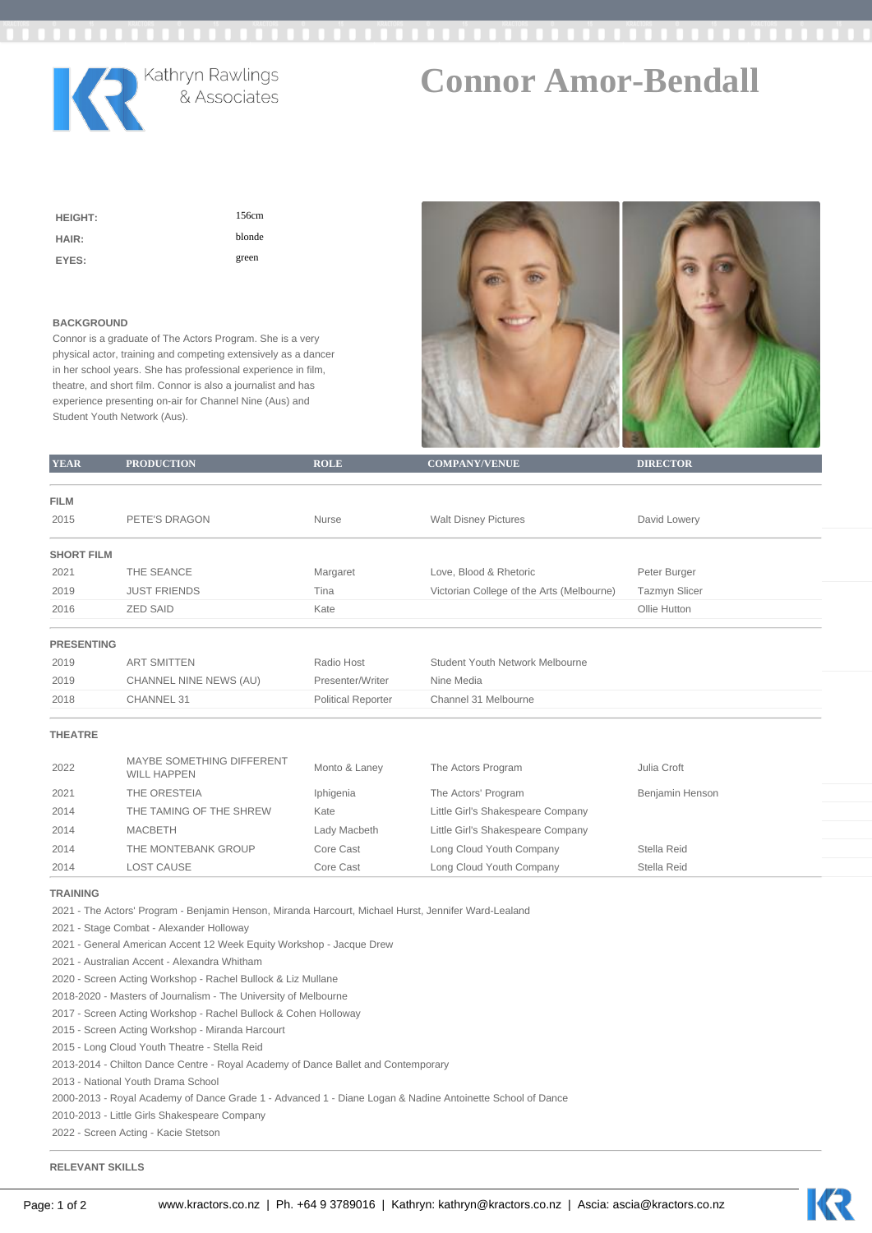

## **Connor Amor-Bendall**

| <b>HEIGHT:</b> | 156cm  |
|----------------|--------|
| HAIR:          | blonde |
| EYES:          | green  |

## **BACKGROUND**

Connor is a graduate of The Actors Program. She is a very physical actor, training and competing extensively as a dancer in her school years. She has professional experience in film, theatre, and short film. Connor is also a journalist and has experience presenting on-air for Channel Nine (Aus) and Student Youth Network (Aus).



| <b>YEAR</b>                                                                                          | <b>PRODUCTION</b>                               | <b>ROLE</b>               | <b>COMPANY/VENUE</b>                      | <b>DIRECTOR</b>      |  |  |  |
|------------------------------------------------------------------------------------------------------|-------------------------------------------------|---------------------------|-------------------------------------------|----------------------|--|--|--|
|                                                                                                      |                                                 |                           |                                           |                      |  |  |  |
| FILM                                                                                                 |                                                 |                           |                                           |                      |  |  |  |
| 2015                                                                                                 | PETE'S DRAGON                                   | Nurse                     | <b>Walt Disney Pictures</b>               | David Lowery         |  |  |  |
| <b>SHORT FILM</b>                                                                                    |                                                 |                           |                                           |                      |  |  |  |
| 2021                                                                                                 | THE SEANCE                                      | Margaret                  | Love, Blood & Rhetoric                    | Peter Burger         |  |  |  |
| 2019                                                                                                 | <b>JUST FRIENDS</b>                             | Tina                      | Victorian College of the Arts (Melbourne) | <b>Tazmyn Slicer</b> |  |  |  |
| 2016                                                                                                 | <b>ZED SAID</b>                                 | Kate                      |                                           | Ollie Hutton         |  |  |  |
| <b>PRESENTING</b>                                                                                    |                                                 |                           |                                           |                      |  |  |  |
| 2019                                                                                                 | <b>ART SMITTEN</b>                              | Radio Host                | Student Youth Network Melbourne           |                      |  |  |  |
| 2019                                                                                                 | CHANNEL NINE NEWS (AU)                          | Presenter/Writer          | Nine Media                                |                      |  |  |  |
| 2018                                                                                                 | CHANNEL 31                                      | <b>Political Reporter</b> | Channel 31 Melbourne                      |                      |  |  |  |
| <b>THEATRE</b>                                                                                       |                                                 |                           |                                           |                      |  |  |  |
| 2022                                                                                                 | MAYBE SOMETHING DIFFERENT<br><b>WILL HAPPEN</b> | Monto & Laney             | The Actors Program                        | Julia Croft          |  |  |  |
| 2021                                                                                                 | THE ORESTEIA                                    | Iphigenia                 | The Actors' Program                       | Benjamin Henson      |  |  |  |
| 2014                                                                                                 | THE TAMING OF THE SHREW                         | Kate                      | Little Girl's Shakespeare Company         |                      |  |  |  |
| 2014                                                                                                 | <b>MACBETH</b>                                  | Lady Macbeth              | Little Girl's Shakespeare Company         |                      |  |  |  |
| 2014                                                                                                 | THE MONTEBANK GROUP                             | Core Cast                 | Long Cloud Youth Company                  | Stella Reid          |  |  |  |
| 2014                                                                                                 | <b>LOST CAUSE</b>                               | Core Cast                 | Long Cloud Youth Company                  | Stella Reid          |  |  |  |
| <b>TRAINING</b>                                                                                      |                                                 |                           |                                           |                      |  |  |  |
| 2021 - The Actors' Program - Benjamin Henson, Miranda Harcourt, Michael Hurst, Jennifer Ward-Lealand |                                                 |                           |                                           |                      |  |  |  |
| 2021 - Stage Combat - Alexander Holloway                                                             |                                                 |                           |                                           |                      |  |  |  |
| 2021 - General American Accent 12 Week Equity Workshop - Jacque Drew                                 |                                                 |                           |                                           |                      |  |  |  |
| 2021 - Australian Accent - Alexandra Whitham                                                         |                                                 |                           |                                           |                      |  |  |  |
| 2020 - Screen Acting Workshop - Rachel Bullock & Liz Mullane                                         |                                                 |                           |                                           |                      |  |  |  |
| 2018-2020 - Masters of Journalism - The University of Melbourne                                      |                                                 |                           |                                           |                      |  |  |  |
| 2017 - Screen Acting Workshop - Rachel Bullock & Cohen Holloway                                      |                                                 |                           |                                           |                      |  |  |  |
| 2015 - Screen Acting Workshop - Miranda Harcourt                                                     |                                                 |                           |                                           |                      |  |  |  |
| 2015 - Long Cloud Youth Theatre - Stella Reid                                                        |                                                 |                           |                                           |                      |  |  |  |

2013-2014 - Chilton Dance Centre - Royal Academy of Dance Ballet and Contemporary

2013 - National Youth Drama School

2000-2013 - Royal Academy of Dance Grade 1 - Advanced 1 - Diane Logan & Nadine Antoinette School of Dance

2010-2013 - Little Girls Shakespeare Company

2022 - Screen Acting - Kacie Stetson

## **RELEVANT SKILLS**